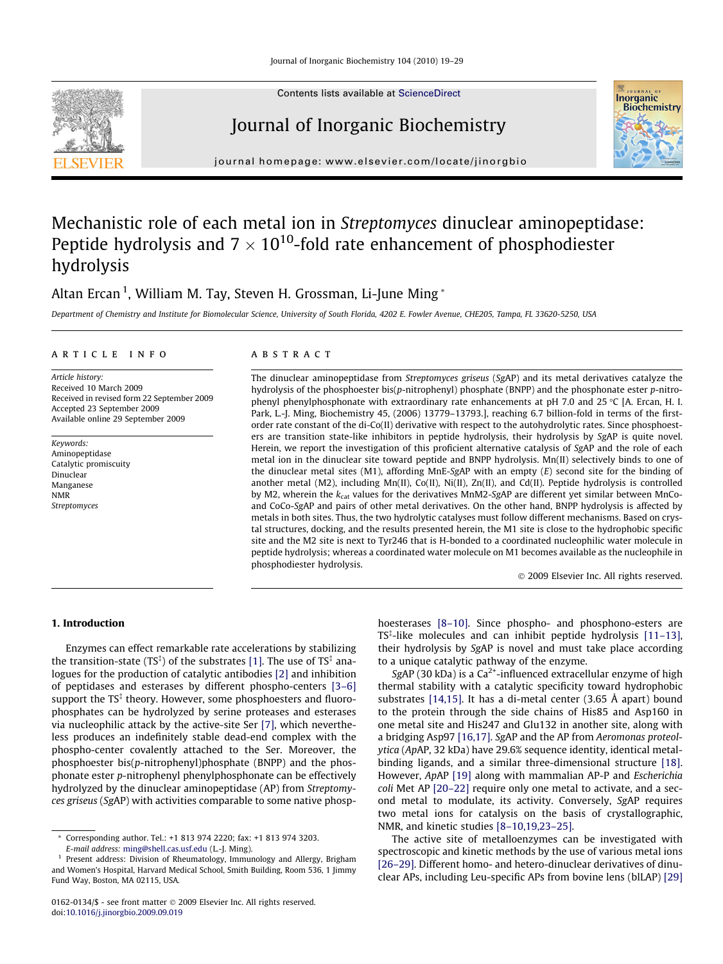

Contents lists available at [ScienceDirect](http://www.sciencedirect.com/science/journal/01620134)

# Journal of Inorganic Biochemistry



journal homepage: [www.elsevier.com/locate/jinorgbio](http://www.elsevier.com/locate/jinorgbio)

# Mechanistic role of each metal ion in Streptomyces dinuclear aminopeptidase: Peptide hydrolysis and 7  $\times$  10<sup>10</sup>-fold rate enhancement of phosphodiester hydrolysis

# Altan Ercan <sup>1</sup>, William M. Tay, Steven H. Grossman, Li-June Ming \*

Department of Chemistry and Institute for Biomolecular Science, University of South Florida, 4202 E. Fowler Avenue, CHE205, Tampa, FL 33620-5250, USA

#### article info

Article history: Received 10 March 2009 Received in revised form 22 September 2009 Accepted 23 September 2009 Available online 29 September 2009

Keywords: Aminopeptidase Catalytic promiscuity Dinuclear Manganese NMR Streptomyces

## **ABSTRACT**

The dinuclear aminopeptidase from Streptomyces griseus (SgAP) and its metal derivatives catalyze the hydrolysis of the phosphoester bis(p-nitrophenyl) phosphate (BNPP) and the phosphonate ester p-nitrophenyl phenylphosphonate with extraordinary rate enhancements at pH 7.0 and 25  $\degree$ C [A. Ercan, H. I. Park, L.-J. Ming, Biochemistry 45, (2006) 13779–13793.], reaching 6.7 billion-fold in terms of the firstorder rate constant of the di-Co(II) derivative with respect to the autohydrolytic rates. Since phosphoesters are transition state-like inhibitors in peptide hydrolysis, their hydrolysis by SgAP is quite novel. Herein, we report the investigation of this proficient alternative catalysis of SgAP and the role of each metal ion in the dinuclear site toward peptide and BNPP hydrolysis. Mn(II) selectively binds to one of the dinuclear metal sites  $(M1)$ , affording MnE-SgAP with an empty  $(E)$  second site for the binding of another metal (M2), including Mn(II), Co(II), Ni(II), Zn(II), and Cd(II). Peptide hydrolysis is controlled by M2, wherein the  $k_{cat}$  values for the derivatives MnM2-SgAP are different yet similar between MnCoand CoCo-SgAP and pairs of other metal derivatives. On the other hand, BNPP hydrolysis is affected by metals in both sites. Thus, the two hydrolytic catalyses must follow different mechanisms. Based on crystal structures, docking, and the results presented herein, the M1 site is close to the hydrophobic specific site and the M2 site is next to Tyr246 that is H-bonded to a coordinated nucleophilic water molecule in peptide hydrolysis; whereas a coordinated water molecule on M1 becomes available as the nucleophile in phosphodiester hydrolysis.

2009 Elsevier Inc. All rights reserved.

# 1. Introduction

Enzymes can effect remarkable rate accelerations by stabilizing the transition-state (TS<sup>‡</sup>) of the substrates [\[1\].](#page-8-0) The use of TS<sup>‡</sup> analogues for the production of catalytic antibodies [\[2\]](#page-8-0) and inhibition of peptidases and esterases by different phospho-centers [\[3–6\]](#page-8-0) support the  $TS^{\ddagger}$  theory. However, some phosphoesters and fluorophosphates can be hydrolyzed by serine proteases and esterases via nucleophilic attack by the active-site Ser [\[7\]](#page-9-0), which nevertheless produces an indefinitely stable dead-end complex with the phospho-center covalently attached to the Ser. Moreover, the phosphoester bis(p-nitrophenyl)phosphate (BNPP) and the phosphonate ester p-nitrophenyl phenylphosphonate can be effectively hydrolyzed by the dinuclear aminopeptidase (AP) from Streptomyces griseus (SgAP) with activities comparable to some native phosphoesterases [8-10]. Since phospho- and phosphono-esters are TS<sup>‡</sup>-like molecules and can inhibit peptide hydrolysis [\[11–13\],](#page-9-0) their hydrolysis by SgAP is novel and must take place according to a unique catalytic pathway of the enzyme.

SgAP (30 kDa) is a  $Ca^{2+}$ -influenced extracellular enzyme of high thermal stability with a catalytic specificity toward hydrophobic substrates [\[14,15\]](#page-9-0). It has a di-metal center (3.65 Å apart) bound to the protein through the side chains of His85 and Asp160 in one metal site and His247 and Glu132 in another site, along with a bridging Asp97 [\[16,17\]](#page-9-0). SgAP and the AP from Aeromonas proteolytica (ApAP, 32 kDa) have 29.6% sequence identity, identical metalbinding ligands, and a similar three-dimensional structure [\[18\].](#page-9-0) However, ApAP [\[19\]](#page-9-0) along with mammalian AP-P and Escherichia coli Met AP [\[20–22\]](#page-9-0) require only one metal to activate, and a second metal to modulate, its activity. Conversely, SgAP requires two metal ions for catalysis on the basis of crystallographic, NMR, and kinetic studies [\[8–10,19,23–25\]](#page-9-0).

The active site of metalloenzymes can be investigated with spectroscopic and kinetic methods by the use of various metal ions [\[26–29\]](#page-9-0). Different homo- and hetero-dinuclear derivatives of dinuclear APs, including Leu-specific APs from bovine lens (blLAP) [\[29\]](#page-9-0)

<sup>\*</sup> Corresponding author. Tel.: +1 813 974 2220; fax: +1 813 974 3203. E-mail address: [ming@shell.cas.usf.edu](mailto:ming@shell.cas.usf.edu) (L.-J. Ming).

<sup>&</sup>lt;sup>1</sup> Present address: Division of Rheumatology, Immunology and Allergy, Brigham and Women's Hospital, Harvard Medical School, Smith Building, Room 536, 1 Jimmy Fund Way, Boston, MA 02115, USA.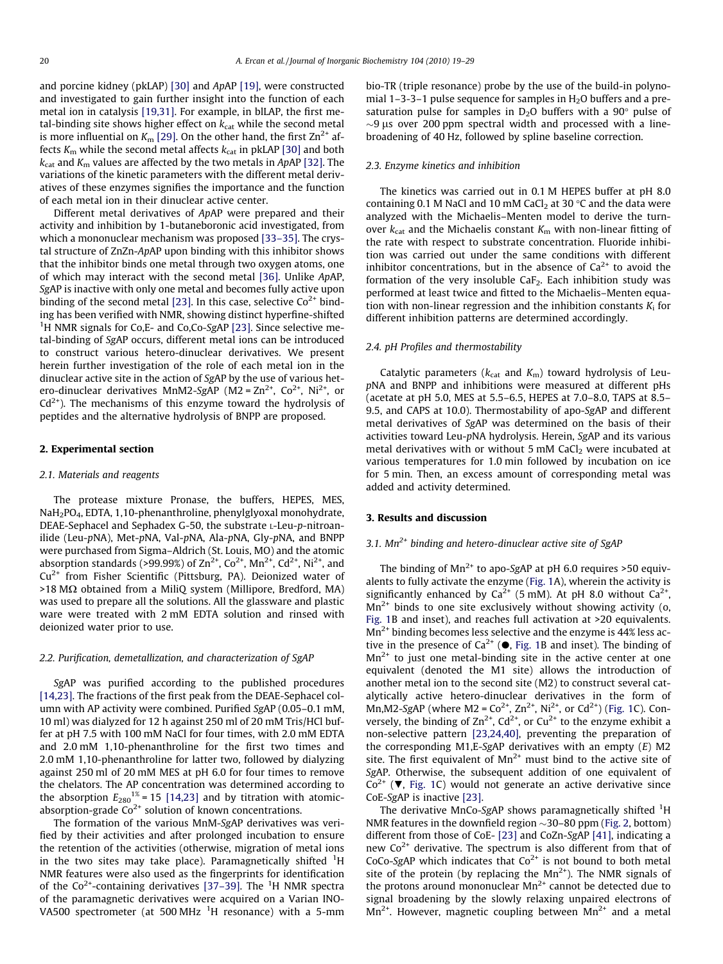and porcine kidney (pkLAP) [\[30\]](#page-9-0) and ApAP [\[19\]](#page-9-0), were constructed and investigated to gain further insight into the function of each metal ion in catalysis [\[19,31\].](#page-9-0) For example, in blLAP, the first metal-binding site shows higher effect on  $k_{cat}$  while the second metal is more influential on  $K_m$  [\[29\].](#page-9-0) On the other hand, the first  $Zn^{2+}$  affects  $K<sub>m</sub>$  while the second metal affects  $k<sub>cat</sub>$  in pkLAP [\[30\]](#page-9-0) and both  $k_{\text{cat}}$  and  $K_{\text{m}}$  values are affected by the two metals in ApAP [\[32\].](#page-9-0) The variations of the kinetic parameters with the different metal derivatives of these enzymes signifies the importance and the function of each metal ion in their dinuclear active center.

Different metal derivatives of ApAP were prepared and their activity and inhibition by 1-butaneboronic acid investigated, from which a mononuclear mechanism was proposed [\[33–35\]](#page-9-0). The crystal structure of ZnZn-ApAP upon binding with this inhibitor shows that the inhibitor binds one metal through two oxygen atoms, one of which may interact with the second metal [\[36\]](#page-9-0). Unlike ApAP, SgAP is inactive with only one metal and becomes fully active upon binding of the second metal [\[23\]](#page-9-0). In this case, selective  $Co<sup>2+</sup>$  binding has been verified with NMR, showing distinct hyperfine-shifted <sup>1</sup>H NMR signals for Co, E- and Co, Co-SgAP [\[23\]](#page-9-0). Since selective metal-binding of SgAP occurs, different metal ions can be introduced to construct various hetero-dinuclear derivatives. We present herein further investigation of the role of each metal ion in the dinuclear active site in the action of SgAP by the use of various hetero-dinuclear derivatives MnM2-SgAP ( $M2 = Zn^{2+}$ ,  $Co^{2+}$ ,  $Ni^{2+}$ , or  $Cd<sup>2+</sup>$ ). The mechanisms of this enzyme toward the hydrolysis of peptides and the alternative hydrolysis of BNPP are proposed.

#### 2. Experimental section

#### 2.1. Materials and reagents

The protease mixture Pronase, the buffers, HEPES, MES, NaH2PO4, EDTA, 1,10-phenanthroline, phenylglyoxal monohydrate, DEAE-Sephacel and Sephadex G-50, the substrate L-Leu-p-nitroanilide (Leu-pNA), Met-pNA, Val-pNA, Ala-pNA, Gly-pNA, and BNPP were purchased from Sigma–Aldrich (St. Louis, MO) and the atomic absorption standards (>99.99%) of  $\text{Zn}^{2+}$ ,  $\text{Co}^{2+}$ ,  $\text{Mn}^{2+}$ ,  $\text{Cd}^{2+}$ , Ni<sup>2+</sup>, and  $Cu<sup>2+</sup>$  from Fisher Scientific (Pittsburg, PA). Deionized water of  $>18$  M $\Omega$  obtained from a MiliQ system (Millipore, Bredford, MA) was used to prepare all the solutions. All the glassware and plastic ware were treated with 2 mM EDTA solution and rinsed with deionized water prior to use.

#### 2.2. Purification, demetallization, and characterization of SgAP

SgAP was purified according to the published procedures [\[14,23\].](#page-9-0) The fractions of the first peak from the DEAE-Sephacel column with AP activity were combined. Purified SgAP (0.05–0.1 mM, 10 ml) was dialyzed for 12 h against 250 ml of 20 mM Tris/HCl buffer at pH 7.5 with 100 mM NaCl for four times, with 2.0 mM EDTA and 2.0 mM 1,10-phenanthroline for the first two times and 2.0 mM 1,10-phenanthroline for latter two, followed by dialyzing against 250 ml of 20 mM MES at pH 6.0 for four times to remove the chelators. The AP concentration was determined according to the absorption  $E_{280}^{1\%}$  = 15 [\[14,23\]](#page-9-0) and by titration with atomicabsorption-grade  $Co<sup>2+</sup>$  solution of known concentrations.

The formation of the various MnM-SgAP derivatives was verified by their activities and after prolonged incubation to ensure the retention of the activities (otherwise, migration of metal ions in the two sites may take place). Paramagnetically shifted  ${}^{1}$ H NMR features were also used as the fingerprints for identification of the Co<sup>2+</sup>-containing derivatives [\[37–39\].](#page-9-0) The <sup>1</sup>H NMR spectra of the paramagnetic derivatives were acquired on a Varian INO-VA500 spectrometer (at 500 MHz <sup>1</sup>H resonance) with a 5-mm

bio-TR (triple resonance) probe by the use of the build-in polynomial 1–3-3–1 pulse sequence for samples in  $H_2O$  buffers and a presaturation pulse for samples in  $D_2O$  buffers with a 90 $^{\circ}$  pulse of  $\sim$ 9 µs over 200 ppm spectral width and processed with a linebroadening of 40 Hz, followed by spline baseline correction.

#### 2.3. Enzyme kinetics and inhibition

The kinetics was carried out in 0.1 M HEPES buffer at pH 8.0 containing 0.1 M NaCl and 10 mM CaCl<sub>2</sub> at 30 °C and the data were analyzed with the Michaelis–Menten model to derive the turnover  $k_{\text{cat}}$  and the Michaelis constant  $K_{\text{m}}$  with non-linear fitting of the rate with respect to substrate concentration. Fluoride inhibition was carried out under the same conditions with different inhibitor concentrations, but in the absence of  $Ca<sup>2+</sup>$  to avoid the formation of the very insoluble Ca $F_2$ . Each inhibition study was performed at least twice and fitted to the Michaelis–Menten equation with non-linear regression and the inhibition constants  $K_i$  for different inhibition patterns are determined accordingly.

# 2.4. pH Profiles and thermostability

Catalytic parameters ( $k_{cat}$  and  $K_m$ ) toward hydrolysis of LeupNA and BNPP and inhibitions were measured at different pHs (acetate at pH 5.0, MES at 5.5–6.5, HEPES at 7.0–8.0, TAPS at 8.5– 9.5, and CAPS at 10.0). Thermostability of apo-SgAP and different metal derivatives of SgAP was determined on the basis of their activities toward Leu-pNA hydrolysis. Herein, SgAP and its various metal derivatives with or without 5 mM  $CaCl<sub>2</sub>$  were incubated at various temperatures for 1.0 min followed by incubation on ice for 5 min. Then, an excess amount of corresponding metal was added and activity determined.

# 3. Results and discussion

# 3.1.  $Mn^{2+}$  binding and hetero-dinuclear active site of SgAP

The binding of  $Mn^{2+}$  to apo-SgAP at pH 6.0 requires >50 equivalents to fully activate the enzyme [\(Fig. 1](#page-2-0)A), wherein the activity is significantly enhanced by  $Ca^{2+}$  (5 mM). At pH 8.0 without  $Ca^{2+}$ ,  $Mn^{2+}$  binds to one site exclusively without showing activity (o, [Fig. 1B](#page-2-0) and inset), and reaches full activation at >20 equivalents.  $Mn^{2+}$  binding becomes less selective and the enzyme is 44% less active in the presence of  $Ca^{2+}$  ( $\bullet$ , [Fig. 1B](#page-2-0) and inset). The binding of  $Mn^{2+}$  to just one metal-binding site in the active center at one equivalent (denoted the M1 site) allows the introduction of another metal ion to the second site (M2) to construct several catalytically active hetero-dinuclear derivatives in the form of Mn,M2-SgAP (where M2 =  $Co^{2+}$ , Zn<sup>2+</sup>, Ni<sup>2+</sup>, or Cd<sup>2+</sup>) ([Fig. 1](#page-2-0)C). Conversely, the binding of  $\text{Zn}^{2+}$ , Cd<sup>2+</sup>, or Cu<sup>2+</sup> to the enzyme exhibit a non-selective pattern [\[23,24,40\],](#page-9-0) preventing the preparation of the corresponding M1,E-SgAP derivatives with an empty (E) M2 site. The first equivalent of  $Mn^{2+}$  must bind to the active site of SgAP. Otherwise, the subsequent addition of one equivalent of  $Co<sup>2+</sup>$  ( $\nabla$ , [Fig. 1](#page-2-0)C) would not generate an active derivative since CoE-SgAP is inactive [\[23\].](#page-9-0)

The derivative MnCo-SgAP shows paramagnetically shifted <sup>1</sup>H NMR features in the downfield region  $\sim$ 30–80 ppm ([Fig. 2](#page-2-0), bottom) different from those of CoE- [\[23\]](#page-9-0) and CoZn-SgAP [\[41\],](#page-9-0) indicating a new  $Co<sup>2+</sup>$  derivative. The spectrum is also different from that of CoCo-SgAP which indicates that  $Co^{2+}$  is not bound to both metal site of the protein (by replacing the  $Mn^{2+}$ ). The NMR signals of the protons around mononuclear  $Mn^{2+}$  cannot be detected due to signal broadening by the slowly relaxing unpaired electrons of  $Mn^{2+}$ . However, magnetic coupling between  $Mn^{2+}$  and a metal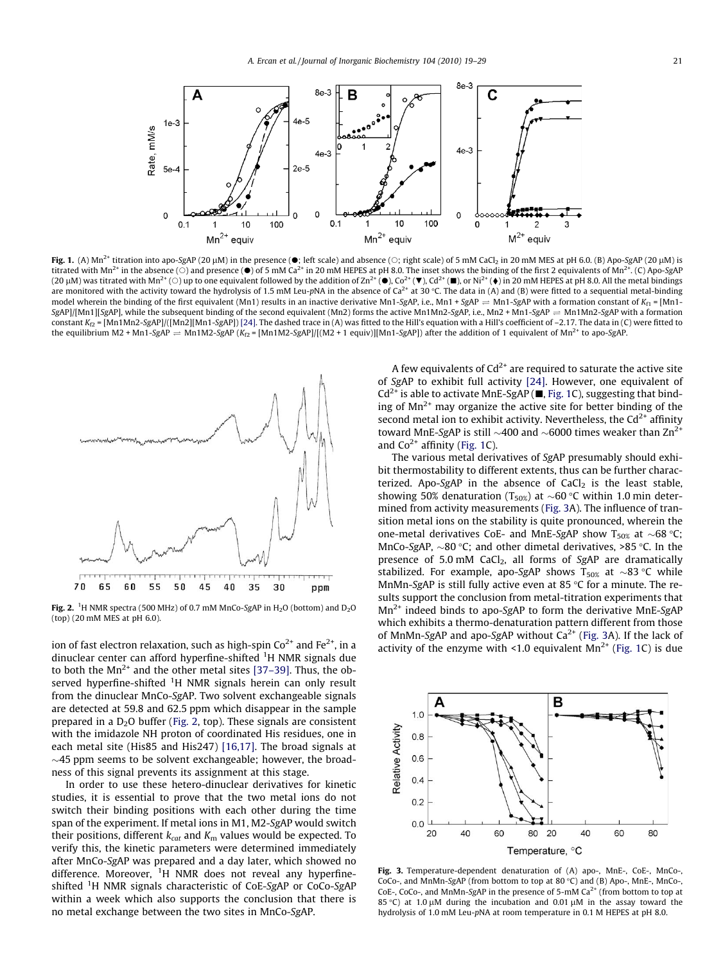<span id="page-2-0"></span>

Fig. 1. (A) Mn<sup>2+</sup> titration into apo-SgAP (20 µM) in the presence ( $\bullet$ ; left scale) and absence ( $\circ$ ; right scale) of 5 mM CaCl<sub>2</sub> in 20 mM MES at pH 6.0. (B) Apo-SgAP (20 µM) is titrated with Mn<sup>2+</sup> in the absence (O) and presence ( $\bullet$ ) of 5 mM Ca<sup>2+</sup> in 20 mM HEPES at pH 8.0. The inset shows the binding of the first 2 equivalents of Mn<sup>2+</sup>. (C) Apo-SgAP (20 μM) was titrated with Mn<sup>2+</sup> (○) up to one equivalent followed by the addition of Zn<sup>2+</sup> (●), Co<sup>2+</sup> (●), Cd<sup>2+</sup> (■), or Ni<sup>2+</sup> (♦) in 20 mM HEPES at pH 8.0. All the metal bindings<br>are monitored with the activity tow model wherein the binding of the first equivalent (Mn1) results in an inactive derivative Mn1-SgAP, i.e., Mn1 + SgAP  $\Rightarrow$  Mn1-SgAP with a formation constant of  $K_{f1}$  = [Mn1- $SgAP$ [/[Mn1][SgAP], while the subsequent binding of the second equivalent (Mn2) forms the active Mn1Mn2-SgAP, i.e., Mn2 + Mn1-SgAP  $\Rightarrow$  Mn1Mn2-SgAP with a formation constant  $K_{D}$  = [Mn1Mn2-SgAP]/([Mn2][Mn1-SgAP]) [\[24\].](#page-9-0) The dashed trace in (A) was fitted to the Hill's equation with a Hill's coefficient of -2.17. The data in (C) were fitted to the equilibrium M2 + Mn1-SgAP  $\Rightarrow$  Mn1M2-SgAP (K<sub>f2</sub> = [Mn1M2-SgAP]/[(M2 + 1 equiv)][Mn1-SgAP]) after the addition of 1 equivalent of Mn<sup>2+</sup> to apo-SgAP.



**Fig. 2.** <sup>1</sup>H NMR spectra (500 MHz) of 0.7 mM MnCo-SgAP in H<sub>2</sub>O (bottom) and D<sub>2</sub>O (top) (20 mM MES at pH 6.0).

ion of fast electron relaxation, such as high-spin  $Co^{2+}$  and  $Fe^{2+}$ , in a dinuclear center can afford hyperfine-shifted <sup>1</sup>H NMR signals due to both the  $Mn^{2+}$  and the other metal sites [\[37–39\].](#page-9-0) Thus, the observed hyperfine-shifted <sup>1</sup>H NMR signals herein can only result from the dinuclear MnCo-SgAP. Two solvent exchangeable signals are detected at 59.8 and 62.5 ppm which disappear in the sample prepared in a D<sub>2</sub>O buffer (Fig. 2, top). These signals are consistent with the imidazole NH proton of coordinated His residues, one in each metal site (His85 and His247) [\[16,17\].](#page-9-0) The broad signals at  $\sim$ 45 ppm seems to be solvent exchangeable; however, the broadness of this signal prevents its assignment at this stage.

In order to use these hetero-dinuclear derivatives for kinetic studies, it is essential to prove that the two metal ions do not switch their binding positions with each other during the time span of the experiment. If metal ions in M1, M2-SgAP would switch their positions, different  $k_{cat}$  and  $K_m$  values would be expected. To verify this, the kinetic parameters were determined immediately after MnCo-SgAP was prepared and a day later, which showed no difference. Moreover, <sup>1</sup>H NMR does not reveal any hyperfineshifted <sup>1</sup>H NMR signals characteristic of CoE-SgAP or CoCo-SgAP within a week which also supports the conclusion that there is no metal exchange between the two sites in MnCo-SgAP.

A few equivalents of  $Cd^{2+}$  are required to saturate the active site of SgAP to exhibit full activity [\[24\]](#page-9-0). However, one equivalent of  $Cd^{2+}$  is able to activate MnE-SgAP ( $\blacksquare$ , Fig. 1C), suggesting that binding of  $Mn^{2+}$  may organize the active site for better binding of the second metal ion to exhibit activity. Nevertheless, the  $Cd^{2+}$  affinity toward MnE-SgAP is still  $\sim$ 400 and  $\sim$ 6000 times weaker than Zn<sup>2+</sup> and  $Co<sup>2+</sup>$  affinity (Fig. 1C).

The various metal derivatives of SgAP presumably should exhibit thermostability to different extents, thus can be further characterized. Apo-SgAP in the absence of  $CaCl<sub>2</sub>$  is the least stable, showing 50% denaturation (T<sub>50%</sub>) at  ${\sim}60$  °C within 1.0 min determined from activity measurements (Fig. 3A). The influence of transition metal ions on the stability is quite pronounced, wherein the one-metal derivatives CoE- and MnE-SgAP show T<sub>50%</sub> at  $\sim$ 68 °C; MnCo-SgAP,  $\sim$ 80 °C; and other dimetal derivatives, >85 °C. In the presence of 5.0 mM  $CaCl<sub>2</sub>$ , all forms of SgAP are dramatically stabilized. For example, apo-SgAP shows  $\mathrm{T_{50\%}}$  at  ${\sim}83$  °C while MnMn-SgAP is still fully active even at 85 °C for a minute. The results support the conclusion from metal-titration experiments that  $Mn^{2+}$  indeed binds to apo-SgAP to form the derivative MnE-SgAP which exhibits a thermo-denaturation pattern different from those of MnMn-SgAP and apo-SgAP without  $Ca^{2+}$  (Fig. 3A). If the lack of activity of the enzyme with <1.0 equivalent  $Mn^{2+}$  (Fig. 1C) is due



Fig. 3. Temperature-dependent denaturation of (A) apo-, MnE-, CoE-, MnCo-, CoCo-, and MnMn-SgAP (from bottom to top at 80 °C) and (B) Apo-, MnE-, MnCo-CoE-, CoCo-, and MnMn-SgAP in the presence of 5-mM  $Ca^{2+}$  (from bottom to top at 85 °C) at 1.0  $\mu$ M during the incubation and 0.01  $\mu$ M in the assay toward the hydrolysis of 1.0 mM Leu-pNA at room temperature in 0.1 M HEPES at pH 8.0.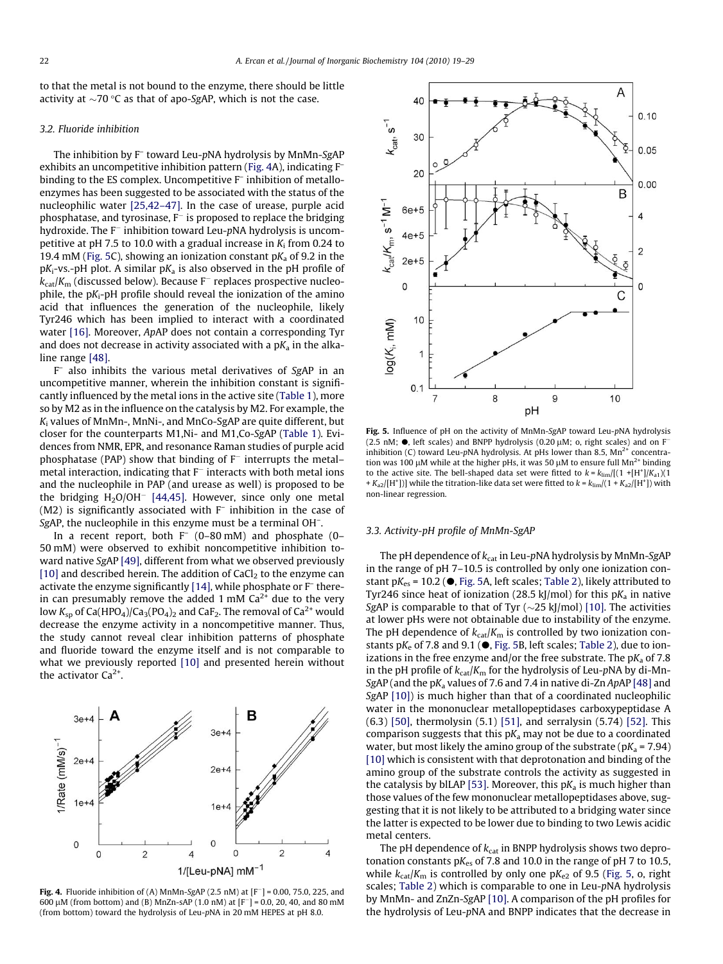to that the metal is not bound to the enzyme, there should be little activity at  ${\sim}70$  °C as that of apo-SgAP, which is not the case.

# 3.2. Fluoride inhibition

The inhibition by F<sup>-</sup> toward Leu-pNA hydrolysis by MnMn-SgAP exhibits an uncompetitive inhibition pattern (Fig. 4A), indicating F– binding to the ES complex. Uncompetitive F<sup>-</sup> inhibition of metalloenzymes has been suggested to be associated with the status of the nucleophilic water [\[25,42–47\].](#page-9-0) In the case of urease, purple acid phosphatase, and tyrosinase,  $F^-$  is proposed to replace the bridging hydroxide. The  $F^-$  inhibition toward Leu-pNA hydrolysis is uncompetitive at pH 7.5 to 10.0 with a gradual increase in  $K_i$  from 0.24 to 19.4 mM (Fig. 5C), showing an ionization constant  $pK_a$  of 9.2 in the  $pK_i$ -vs.-pH plot. A similar  $pK_a$  is also observed in the pH profile of  $k_{\text{cat}}/K_{\text{m}}$  (discussed below). Because F<sup>-</sup> replaces prospective nucleophile, the  $pK_i$ -pH profile should reveal the ionization of the amino acid that influences the generation of the nucleophile, likely Tyr246 which has been implied to interact with a coordinated water [\[16\].](#page-9-0) Moreover, ApAP does not contain a corresponding Tyr and does not decrease in activity associated with a  $pK<sub>a</sub>$  in the alkaline range [\[48\].](#page-9-0)

F– also inhibits the various metal derivatives of SgAP in an uncompetitive manner, wherein the inhibition constant is significantly influenced by the metal ions in the active site ([Table 1](#page-4-0)), more so by M2 as in the influence on the catalysis by M2. For example, the K<sup>i</sup> values of MnMn-, MnNi-, and MnCo-SgAP are quite different, but closer for the counterparts M1,Ni- and M1,Co-SgAP [\(Table 1](#page-4-0)). Evidences from NMR, EPR, and resonance Raman studies of purple acid phosphatase (PAP) show that binding of  $F^-$  interrupts the metal– metal interaction, indicating that  $F^-$  interacts with both metal ions and the nucleophile in PAP (and urease as well) is proposed to be the bridging  $H<sub>2</sub>O/OH<sup>-</sup>$  [\[44,45\]](#page-9-0). However, since only one metal (M2) is significantly associated with F– inhibition in the case of SgAP, the nucleophile in this enzyme must be a terminal OH<sup>-</sup>.

In a recent report, both  $F^-(0-80 \text{ mM})$  and phosphate  $(0-$ 50 mM) were observed to exhibit noncompetitive inhibition toward native SgAP [\[49\]](#page-9-0), different from what we observed previously [\[10\]](#page-9-0) and described herein. The addition of CaCl<sub>2</sub> to the enzyme can activate the enzyme significantly [\[14\]](#page-9-0), while phosphate or F– therein can presumably remove the added 1 mM  $Ca<sup>2+</sup>$  due to the very low  $K_{\text{sp}}$  of Ca(HPO<sub>4</sub>)/Ca<sub>3</sub>(PO<sub>4</sub>)<sub>2</sub> and CaF<sub>2</sub>. The removal of Ca<sup>2+</sup> would decrease the enzyme activity in a noncompetitive manner. Thus, the study cannot reveal clear inhibition patterns of phosphate and fluoride toward the enzyme itself and is not comparable to what we previously reported [\[10\]](#page-9-0) and presented herein without the activator  $Ca<sup>2+</sup>$ 



**Fig. 4.** Fluoride inhibition of (A) MnMn-SgAP (2.5 nM) at  $[F^-] = 0.00, 75.0, 225,$  and 600  $\mu$ M (from bottom) and (B) MnZn-sAP (1.0 nM) at [F<sup>-</sup>] = 0.0, 20, 40, and 80 mM (from bottom) toward the hydrolysis of Leu-pNA in 20 mM HEPES at pH 8.0.



Fig. 5. Influence of pH on the activity of MnMn-SgAP toward Leu-pNA hydrolysis (2.5 nM;  $\bullet$ , left scales) and BNPP hydrolysis (0.20  $\mu$ M; o, right scales) and on F<sup>-</sup> inhibition (C) toward Leu-pNA hydrolysis. At pHs lower than 8.5,  $Mn^{2+}$  concentration was 100  $\mu$ M while at the higher pHs, it was 50  $\mu$ M to ensure full Mn<sup>2+</sup> binding to the active site. The bell-shaped data set were fitted to  $k = k_{\text{lim}}/[(1 + [H^*]/K_{a1})(1 +$ +  $K_{a2}/[H^+]$ )] while the titration-like data set were fitted to  $k = k_{\text{lim}}/(1 + K_{a2}/[H^+])$  with non-linear regression.

### 3.3. Activity-pH profile of MnMn-SgAP

The pH dependence of  $k_{\text{cat}}$  in Leu-pNA hydrolysis by MnMn-SgAP in the range of pH 7–10.5 is controlled by only one ionization constant p $K_{es}$  = 10.2 ( $\bullet$ , Fig. 5A, left scales; [Table 2\)](#page-4-0), likely attributed to Tyr246 since heat of ionization (28.5 kJ/mol) for this  $pK_a$  in native SgAP is comparable to that of Tyr  $(\sim 25 \text{ kJ/mol})$  [\[10\].](#page-9-0) The activities at lower pHs were not obtainable due to instability of the enzyme. The pH dependence of  $k_{cat}/K_m$  is controlled by two ionization constants  $pK_e$  of 7.8 and 9.1 ( $\bullet$ , Fig. 5B, left scales; [Table 2\)](#page-4-0), due to ionizations in the free enzyme and/or the free substrate. The  $pK_a$  of 7.8 in the pH profile of  $k_{cat}/K_m$  for the hydrolysis of Leu-pNA by di-Mn-SgAP (and the  $pK<sub>a</sub>$  values of 7.6 and 7.4 in native di-Zn ApAP [\[48\]](#page-9-0) and SgAP [\[10\]\)](#page-9-0) is much higher than that of a coordinated nucleophilic water in the mononuclear metallopeptidases carboxypeptidase A (6.3) [\[50\],](#page-9-0) thermolysin (5.1) [\[51\]](#page-9-0), and serralysin (5.74) [\[52\].](#page-9-0) This comparison suggests that this  $pK_a$  may not be due to a coordinated water, but most likely the amino group of the substrate ( $pK_a$  = 7.94) [\[10\]](#page-9-0) which is consistent with that deprotonation and binding of the amino group of the substrate controls the activity as suggested in the catalysis by blLAP [\[53\]](#page-9-0). Moreover, this  $pK_a$  is much higher than those values of the few mononuclear metallopeptidases above, suggesting that it is not likely to be attributed to a bridging water since the latter is expected to be lower due to binding to two Lewis acidic metal centers.

The pH dependence of  $k_{cat}$  in BNPP hydrolysis shows two deprotonation constants  $pK_{es}$  of 7.8 and 10.0 in the range of pH 7 to 10.5, while  $k_{\text{cat}}/K_{\text{m}}$  is controlled by only one p $K_{e2}$  of 9.5 (Fig. 5, o, right scales; [Table 2\)](#page-4-0) which is comparable to one in Leu-pNA hydrolysis by MnMn- and ZnZn-SgAP [\[10\].](#page-9-0) A comparison of the pH profiles for the hydrolysis of Leu-pNA and BNPP indicates that the decrease in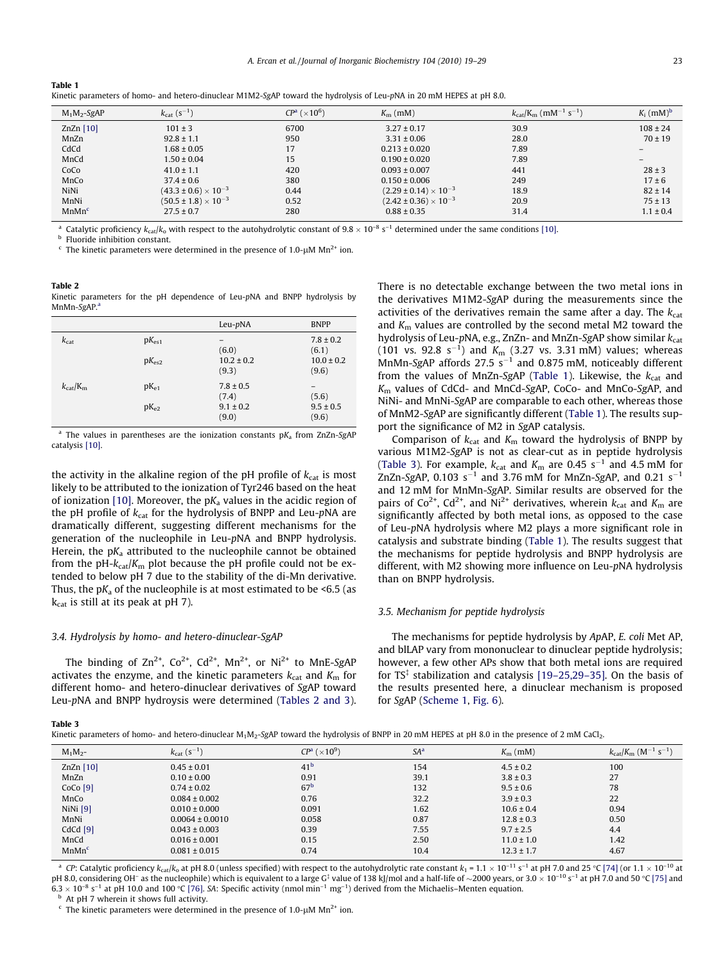| $M_1M_2-SgAP$     | $k_{\text{cat}}$ (s <sup>-1</sup> ) | $CPa$ ( $\times 106$ ) | $K_{\rm m}$ (mM)                 | $k_{\text{cat}}/K_{\text{m}}$ (mM <sup>-1</sup> s <sup>-1</sup> ) | $K_i$ (mM) <sup>b</sup> |
|-------------------|-------------------------------------|------------------------|----------------------------------|-------------------------------------------------------------------|-------------------------|
| $ZnZn$ [10]       | $101 \pm 3$                         | 6700                   | $3.27 \pm 0.17$                  | 30.9                                                              | $108 \pm 24$            |
| MnZn              | $92.8 \pm 1.1$                      | 950                    | $3.31 \pm 0.06$                  | 28.0                                                              | $70 \pm 19$             |
| CdCd              | $1.68 \pm 0.05$                     | 17                     | $0.213 \pm 0.020$                | 7.89                                                              |                         |
| MnCd              | $1.50 \pm 0.04$                     | 15                     | $0.190 \pm 0.020$                | 7.89                                                              |                         |
| CoCo              | $41.0 \pm 1.1$                      | 420                    | $0.093 \pm 0.007$                | 441                                                               | $28 \pm 3$              |
| MnCo              | $37.4 \pm 0.6$                      | 380                    | $0.150 \pm 0.006$                | 249                                                               | $17 \pm 6$              |
| NiNi              | $(43.3 \pm 0.6) \times 10^{-3}$     | 0.44                   | $(2.29 \pm 0.14) \times 10^{-3}$ | 18.9                                                              | $82 \pm 14$             |
| MnNi              | $(50.5 \pm 1.8) \times 10^{-3}$     | 0.52                   | $(2.42 \pm 0.36) \times 10^{-3}$ | 20.9                                                              | $75 \pm 13$             |
| MnMn <sup>c</sup> | $27.5 \pm 0.7$                      | 280                    | $0.88 \pm 0.35$                  | 31.4                                                              | $1.1 \pm 0.4$           |

Kinetic parameters of homo- and hetero-dinuclear M1M2-SgAP toward the hydrolysis of Leu-pNA in 20 mM HEPES at pH 8.0.

 $^{\rm a}$  Catalytic proficiency  $k_{\rm cat}/k_{\rm o}$  with respect to the autohydrolytic constant of 9.8  $\times$  10 $^{-8}$  s $^{-1}$  determined under the same conditions [\[10\].](#page-9-0) Fluoride inhibition constant.

The kinetic parameters were determined in the presence of 1.0- $\mu$ M Mn<sup>2+</sup> ion.

Table 2

<span id="page-4-0"></span>Table 1

Kinetic parameters for the pH dependence of Leu-pNA and BNPP hydrolysis by MnMn-SgAP.<sup>a</sup>

|                               |                                 | Leu-pNA                                          | <b>BNPP</b>                                       |
|-------------------------------|---------------------------------|--------------------------------------------------|---------------------------------------------------|
| $k_{\text{cat}}$              | $pK_{es1}$<br>$pK_{\text{es2}}$ | (6.0)<br>$10.2 \pm 0.2$<br>(9.3)                 | $7.8 \pm 0.2$<br>(6.1)<br>$10.0 \pm 0.2$<br>(9.6) |
| $k_{\text{cat}}/K_{\text{m}}$ | $pK_{e1}$<br>$pK_{e2}$          | $7.8 \pm 0.5$<br>(7.4)<br>$9.1 \pm 0.2$<br>(9.0) | (5.6)<br>$9.5 \pm 0.5$<br>(9.6)                   |

<sup>a</sup> The values in parentheses are the ionization constants  $pK_a$  from ZnZn-SgAP catalysis [\[10\].](#page-9-0)

the activity in the alkaline region of the pH profile of  $k_{cat}$  is most likely to be attributed to the ionization of Tyr246 based on the heat of ionization [\[10\]](#page-9-0). Moreover, the  $pK_a$  values in the acidic region of the pH profile of  $k_{cat}$  for the hydrolysis of BNPP and Leu-pNA are dramatically different, suggesting different mechanisms for the generation of the nucleophile in Leu-pNA and BNPP hydrolysis. Herein, the  $pK_a$  attributed to the nucleophile cannot be obtained from the pH- $k_{cat}/K_m$  plot because the pH profile could not be extended to below pH 7 due to the stability of the di-Mn derivative. Thus, the  $pK_a$  of the nucleophile is at most estimated to be <6.5 (as  $k_{cat}$  is still at its peak at pH 7).

# 3.4. Hydrolysis by homo- and hetero-dinuclear-SgAP

The binding of  $\text{Zn}^{2+}$ ,  $\text{Co}^{2+}$ ,  $\text{Cd}^{2+}$ ,  $\text{Mn}^{2+}$ , or  $\text{Ni}^{2+}$  to  $\text{MnE-SgAP}$ activates the enzyme, and the kinetic parameters  $k_{\text{cat}}$  and  $K_{\text{m}}$  for different homo- and hetero-dinuclear derivatives of SgAP toward Leu-pNA and BNPP hydroysis were determined (Tables 2 and 3). There is no detectable exchange between the two metal ions in the derivatives M1M2-SgAP during the measurements since the activities of the derivatives remain the same after a day. The  $k_{\text{cat}}$ and  $K<sub>m</sub>$  values are controlled by the second metal M2 toward the hydrolysis of Leu-pNA, e.g., ZnZn- and MnZn-SgAP show similar  $k_{\mathrm{cat}}$ (101 vs. 92.8  $s^{-1}$ ) and  $K_m$  (3.27 vs. 3.31 mM) values; whereas MnMn-SgAP affords  $27.5 \text{ s}^{-1}$  and 0.875 mM, noticeably different from the values of MnZn-SgAP (Table 1). Likewise, the  $k_{\text{cat}}$  and K<sup>m</sup> values of CdCd- and MnCd-SgAP, CoCo- and MnCo-SgAP, and NiNi- and MnNi-SgAP are comparable to each other, whereas those of MnM2-SgAP are significantly different (Table 1). The results support the significance of M2 in SgAP catalysis.

Comparison of  $k_{cat}$  and  $K_m$  toward the hydrolysis of BNPP by various M1M2-SgAP is not as clear-cut as in peptide hydrolysis (Table 3). For example,  $k_{cat}$  and  $K_m$  are 0.45 s<sup>-1</sup> and 4.5 mM for ZnZn-SgAP, 0.103  $s^{-1}$  and 3.76 mM for MnZn-SgAP, and 0.21  $s^{-1}$ and 12 mM for MnMn-SgAP. Similar results are observed for the pairs of Co<sup>2+</sup>, Cd<sup>2+</sup>, and Ni<sup>2+</sup> derivatives, wherein  $k_{\text{cat}}$  and  $K_{\text{m}}$  are significantly affected by both metal ions, as opposed to the case of Leu-pNA hydrolysis where M2 plays a more significant role in catalysis and substrate binding (Table 1). The results suggest that the mechanisms for peptide hydrolysis and BNPP hydrolysis are different, with M2 showing more influence on Leu-pNA hydrolysis than on BNPP hydrolysis.

#### 3.5. Mechanism for peptide hydrolysis

The mechanisms for peptide hydrolysis by ApAP, E. coli Met AP, and blLAP vary from mononuclear to dinuclear peptide hydrolysis; however, a few other APs show that both metal ions are required for  $TS^{\ddagger}$  stabilization and catalysis [19-25,29-35]. On the basis of the results presented here, a dinuclear mechanism is proposed for SgAP ([Scheme 1](#page-5-0), [Fig. 6](#page-5-0)).

|--|

| Kinetic parameters of homo- and hetero-dinuclear M <sub>1</sub> M <sub>2</sub> -SgAP toward the hydrolysis of BNPP in 20 mM HEPES at pH 8.0 in the presence of 2 mM CaCl <sub>2</sub> . |  |  |
|-----------------------------------------------------------------------------------------------------------------------------------------------------------------------------------------|--|--|
|-----------------------------------------------------------------------------------------------------------------------------------------------------------------------------------------|--|--|

| $M_1M_2-$         | $k_{\text{cat}} (s^{-1})$ | $CP^{\rm a}$ ( $\times 10^9$ ) | SA <sup>a</sup> | $K_{\rm m}$ (mM) | $k_{\text{cat}}/K_{\text{m}}$ (M <sup>-1</sup> s <sup>-1</sup> ) |
|-------------------|---------------------------|--------------------------------|-----------------|------------------|------------------------------------------------------------------|
| Zn $Zn$ [10]      | $0.45 \pm 0.01$           | 41 <sup>b</sup>                | 154             | $4.5 \pm 0.2$    | 100                                                              |
| MnZn              | $0.10 \pm 0.00$           | 0.91                           | 39.1            | $3.8 \pm 0.3$    | 27                                                               |
| $CoCo$ [9]        | $0.74 \pm 0.02$           | 67 <sup>b</sup>                | 132             | $9.5 \pm 0.6$    | 78                                                               |
| MnCo              | $0.084 \pm 0.002$         | 0.76                           | 32.2            | $3.9 \pm 0.3$    | 22                                                               |
| NiNi $[9]$        | $0.010 \pm 0.000$         | 0.091                          | 1.62            | $10.6 \pm 0.4$   | 0.94                                                             |
| MnNi              | $0.0064 \pm 0.0010$       | 0.058                          | 0.87            | $12.8 \pm 0.3$   | 0.50                                                             |
| $CdCd$ [9]        | $0.043 \pm 0.003$         | 0.39                           | 7.55            | $9.7 \pm 2.5$    | 4.4                                                              |
| MnCd              | $0.016 \pm 0.001$         | 0.15                           | 2.50            | $11.0 \pm 1.0$   | 1.42                                                             |
| MnMn <sup>c</sup> | $0.081 \pm 0.015$         | 0.74                           | 10.4            | $12.3 \pm 1.7$   | 4.67                                                             |

 $^{\text{a}}$  CP: Catalytic proficiency k<sub>cat</sub>/k<sub>o</sub> at pH 8.0 (unless specified) with respect to the autohydrolytic rate constant k<sub>1</sub> = 1.1  $\times$  10<sup>-11</sup> s<sup>-1</sup> at pH 7.0 and 25 °C [\[74\]](#page-10-0) (or 1.1  $\times$  10<sup>-10</sup> at pH 8.0, considering OH<sup>–</sup> as the nucleophile) which is equivalent to a large G<sup>†</sup> value of 138 kJ/mol and a half-life of ~2000 years, or 3.0 × 10<sup>-10</sup> s<sup>-1</sup> at pH 7.0 and 50 °C [\[75\]](#page-10-0) and  $6.3\times10^{-8}$  s<sup>-1</sup> at pH 10.0 and 100 °C [\[76\]](#page-10-0). SA: Specific activity (nmol min<sup>-1</sup> mg<sup>-1</sup>) derived from the Michaelis–Menten equation.

At pH 7 wherein it shows full activity.

 $\epsilon$  The kinetic parameters were determined in the presence of 1.0- $\mu$ M Mn<sup>2+</sup> ion.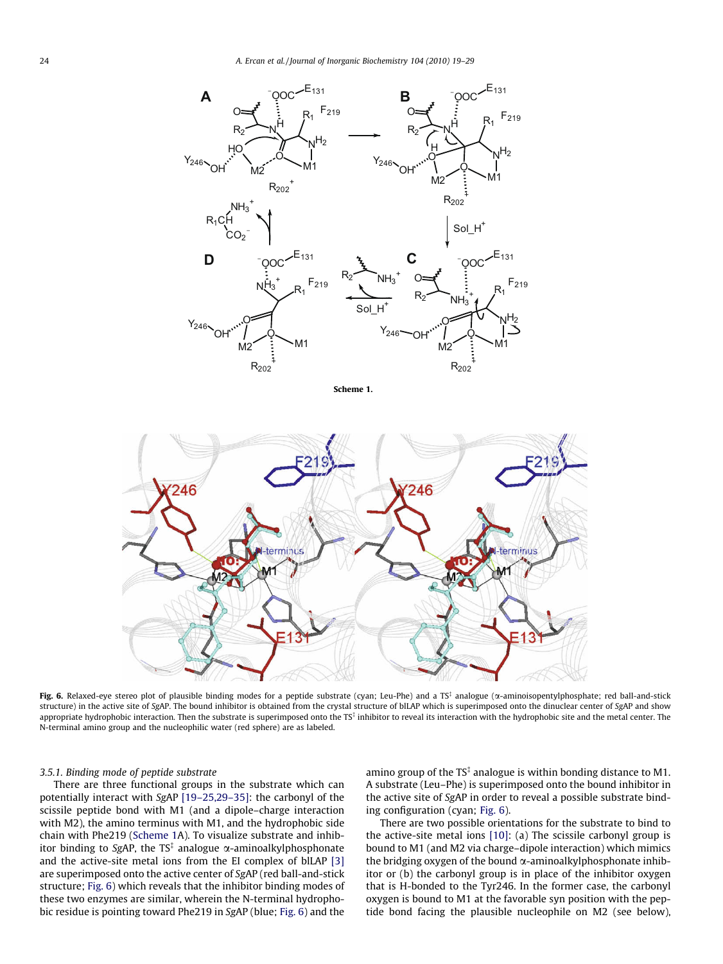<span id="page-5-0"></span>

Scheme 1.



Fig. 6. Relaxed-eye stereo plot of plausible binding modes for a peptide substrate (cyan; Leu-Phe) and a TS‡ analogue ( $\alpha$ -aminoisopentylphosphate; red ball-and-stick structure) in the active site of SgAP. The bound inhibitor is obtained from the crystal structure of blLAP which is superimposed onto the dinuclear center of SgAP and show appropriate hydrophobic interaction. Then the substrate is superimposed onto the  $TS^{\frac{2}{3}}$  inhibitor to reveal its interaction with the hydrophobic site and the metal center. The N-terminal amino group and the nucleophilic water (red sphere) are as labeled.

# 3.5.1. Binding mode of peptide substrate

There are three functional groups in the substrate which can potentially interact with SgAP [\[19–25,29–35\]](#page-9-0): the carbonyl of the scissile peptide bond with M1 (and a dipole–charge interaction with M2), the amino terminus with M1, and the hydrophobic side chain with Phe219 (Scheme 1A). To visualize substrate and inhibitor binding to SgAP, the TS $^\ddag$  analogue  $\alpha$ -aminoalkylphosphonate and the active-site metal ions from the EI complex of blLAP [\[3\]](#page-8-0) are superimposed onto the active center of SgAP (red ball-and-stick structure; Fig. 6) which reveals that the inhibitor binding modes of these two enzymes are similar, wherein the N-terminal hydrophobic residue is pointing toward Phe219 in SgAP (blue; Fig. 6) and the

amino group of the  $TS^{\ddagger}$  analogue is within bonding distance to M1. A substrate (Leu–Phe) is superimposed onto the bound inhibitor in the active site of SgAP in order to reveal a possible substrate binding configuration (cyan; Fig. 6).

There are two possible orientations for the substrate to bind to the active-site metal ions [\[10\]:](#page-9-0) (a) The scissile carbonyl group is bound to M1 (and M2 via charge–dipole interaction) which mimics the bridging oxygen of the bound  $\alpha$ -aminoalkylphosphonate inhibitor or (b) the carbonyl group is in place of the inhibitor oxygen that is H-bonded to the Tyr246. In the former case, the carbonyl oxygen is bound to M1 at the favorable syn position with the peptide bond facing the plausible nucleophile on M2 (see below),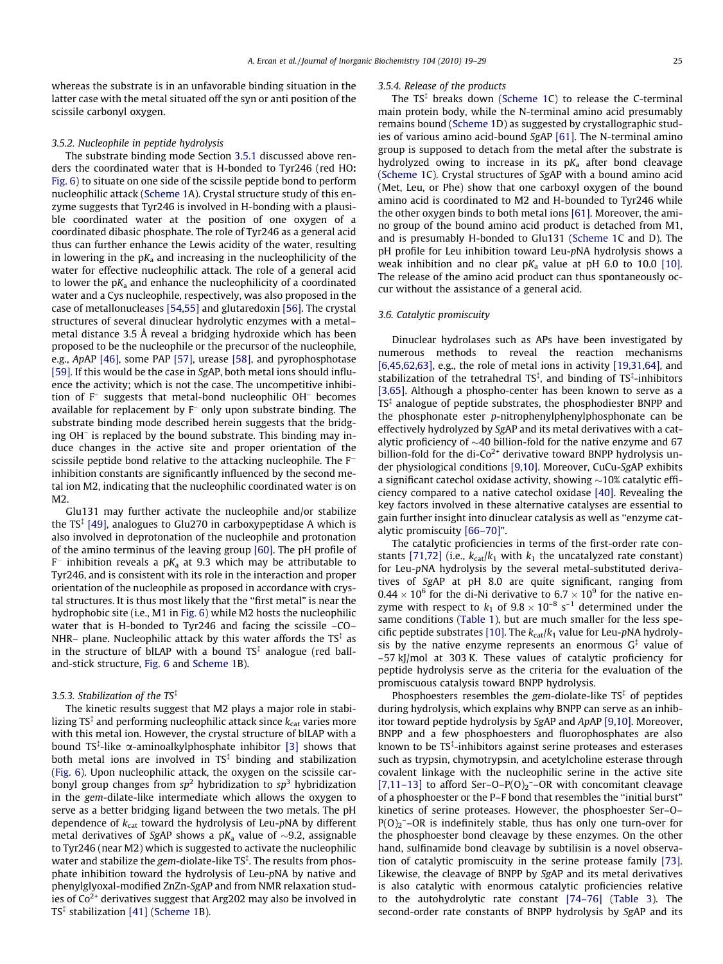whereas the substrate is in an unfavorable binding situation in the latter case with the metal situated off the syn or anti position of the scissile carbonyl oxygen.

#### 3.5.2. Nucleophile in peptide hydrolysis

The substrate binding mode Section [3.5.1](#page-5-0) discussed above renders the coordinated water that is H-bonded to Tyr246 (red HO: [Fig. 6](#page-5-0)) to situate on one side of the scissile peptide bond to perform nucleophilic attack [\(Scheme 1](#page-5-0)A). Crystal structure study of this enzyme suggests that Tyr246 is involved in H-bonding with a plausible coordinated water at the position of one oxygen of a coordinated dibasic phosphate. The role of Tyr246 as a general acid thus can further enhance the Lewis acidity of the water, resulting in lowering in the  $pK_a$  and increasing in the nucleophilicity of the water for effective nucleophilic attack. The role of a general acid to lower the  $pK_a$  and enhance the nucleophilicity of a coordinated water and a Cys nucleophile, respectively, was also proposed in the case of metallonucleases [\[54,55\]](#page-9-0) and glutaredoxin [\[56\]](#page-9-0). The crystal structures of several dinuclear hydrolytic enzymes with a metal– metal distance 3.5 Å reveal a bridging hydroxide which has been proposed to be the nucleophile or the precursor of the nucleophile, e.g., ApAP [\[46\],](#page-9-0) some PAP [\[57\],](#page-9-0) urease [\[58\],](#page-10-0) and pyrophosphotase [\[59\]](#page-10-0). If this would be the case in SgAP, both metal ions should influence the activity; which is not the case. The uncompetitive inhibition of F– suggests that metal-bond nucleophilic OH– becomes available for replacement by F– only upon substrate binding. The substrate binding mode described herein suggests that the bridging OH– is replaced by the bound substrate. This binding may induce changes in the active site and proper orientation of the scissile peptide bond relative to the attacking nucleophile. The F inhibition constants are significantly influenced by the second metal ion M2, indicating that the nucleophilic coordinated water is on  $M<sub>2</sub>$ 

Glu131 may further activate the nucleophile and/or stabilize the  $TS^{\ddagger}$  [\[49\],](#page-9-0) analogues to Glu270 in carboxypeptidase A which is also involved in deprotonation of the nucleophile and protonation of the amino terminus of the leaving group [\[60\].](#page-10-0) The pH profile of  $F^-$  inhibition reveals a p $K_a$  at 9.3 which may be attributable to Tyr246, and is consistent with its role in the interaction and proper orientation of the nucleophile as proposed in accordance with crystal structures. It is thus most likely that the ''first metal" is near the hydrophobic site (i.e., M1 in [Fig. 6\)](#page-5-0) while M2 hosts the nucleophilic water that is H-bonded to Tyr246 and facing the scissile –CO– NHR– plane. Nucleophilic attack by this water affords the  $TS^{\ddagger}$  as in the structure of blLAP with a bound  $TS^{\ddagger}$  analogue (red balland-stick structure, [Fig. 6](#page-5-0) and [Scheme 1B](#page-5-0)).

# 3.5.3. Stabilization of the TS ${}^{\ddagger}$

The kinetic results suggest that M2 plays a major role in stabilizing TS $^\ddag$  and performing nucleophilic attack since  $k_\text{cat}$  varies more with this metal ion. However, the crystal structure of blLAP with a bound TS<sup>‡</sup>-like  $\alpha$ -aminoalkylphosphate inhibitor [\[3\]](#page-8-0) shows that both metal ions are involved in  $TS^{\ddagger}$  binding and stabilization ([Fig. 6\)](#page-5-0). Upon nucleophilic attack, the oxygen on the scissile carbonyl group changes from  $sp^2$  hybridization to  $sp^3$  hybridization in the gem-dilate-like intermediate which allows the oxygen to serve as a better bridging ligand between the two metals. The pH dependence of  $k_{cat}$  toward the hydrolysis of Leu-pNA by different metal derivatives of SgAP shows a p $K_a$  value of  $\sim$ 9.2, assignable to Tyr246 (near M2) which is suggested to activate the nucleophilic water and stabilize the gem-diolate-like  $TS^{\ddagger}$ . The results from phosphate inhibition toward the hydrolysis of Leu-pNA by native and phenylglyoxal-modified ZnZn-SgAP and from NMR relaxation studies of  $Co<sup>2+</sup>$  derivatives suggest that Arg202 may also be involved in TS<sup>‡</sup> stabilization [\[41\]](#page-9-0) [\(Scheme 1](#page-5-0)B).

#### 3.5.4. Release of the products

The  $TS^{\ddagger}$  breaks down ([Scheme 1C](#page-5-0)) to release the C-terminal main protein body, while the N-terminal amino acid presumably remains bound [\(Scheme 1D](#page-5-0)) as suggested by crystallographic studies of various amino acid-bound SgAP [\[61\]](#page-10-0). The N-terminal amino group is supposed to detach from the metal after the substrate is hydrolyzed owing to increase in its  $pK_a$  after bond cleavage ([Scheme 1](#page-5-0)C). Crystal structures of SgAP with a bound amino acid (Met, Leu, or Phe) show that one carboxyl oxygen of the bound amino acid is coordinated to M2 and H-bounded to Tyr246 while the other oxygen binds to both metal ions [\[61\]](#page-10-0). Moreover, the amino group of the bound amino acid product is detached from M1, and is presumably H-bonded to Glu131 ([Scheme 1](#page-5-0)C and D). The pH profile for Leu inhibition toward Leu-pNA hydrolysis shows a weak inhibition and no clear  $pK_a$  value at pH 6.0 to 10.0 [\[10\].](#page-9-0) The release of the amino acid product can thus spontaneously occur without the assistance of a general acid.

## 3.6. Catalytic promiscuity

Dinuclear hydrolases such as APs have been investigated by numerous methods to reveal the reaction mechanisms [\[6,45,62,63\]](#page-9-0), e.g., the role of metal ions in activity [\[19,31,64\],](#page-9-0) and stabilization of the tetrahedral  $TS^{\ddagger}$ , and binding of  $TS^{\ddagger}$ -inhibitors [\[3,65\].](#page-8-0) Although a phospho-center has been known to serve as a  $TS^{\ddagger}$  analogue of peptide substrates, the phosphodiester BNPP and the phosphonate ester p-nitrophenylphenylphosphonate can be effectively hydrolyzed by SgAP and its metal derivatives with a catalytic proficiency of  $\sim$  40 billion-fold for the native enzyme and 67 billion-fold for the di-Co<sup>2+</sup> derivative toward BNPP hydrolysis under physiological conditions [\[9,10\]](#page-9-0). Moreover, CuCu-SgAP exhibits a significant catechol oxidase activity, showing  $\sim$ 10% catalytic efficiency compared to a native catechol oxidase [\[40\].](#page-9-0) Revealing the key factors involved in these alternative catalyses are essential to gain further insight into dinuclear catalysis as well as ''enzyme catalytic promiscuity [\[66–70\]"](#page-10-0).

The catalytic proficiencies in terms of the first-order rate con-stants [\[71,72\]](#page-10-0) (i.e.,  $k_{cat}/k_1$  with  $k_1$  the uncatalyzed rate constant) for Leu-pNA hydrolysis by the several metal-substituted derivatives of SgAP at pH 8.0 are quite significant, ranging from 0.44  $\times$  10<sup>6</sup> for the di-Ni derivative to 6.7  $\times$  10<sup>9</sup> for the native enzyme with respect to  $k_1$  of  $9.8 \times 10^{-8}$  s<sup>-1</sup> determined under the same conditions ([Table 1\)](#page-4-0), but are much smaller for the less spe-cific peptide substrates [\[10\].](#page-9-0) The  $k_{cat}/k_1$  value for Leu-pNA hydrolysis by the native enzyme represents an enormous  $G^{\ddagger}$  value of –57 kJ/mol at 303 K. These values of catalytic proficiency for peptide hydrolysis serve as the criteria for the evaluation of the promiscuous catalysis toward BNPP hydrolysis.

Phosphoesters resembles the gem-diolate-like  $TS^{\ddagger}$  of peptides during hydrolysis, which explains why BNPP can serve as an inhibitor toward peptide hydrolysis by SgAP and ApAP [\[9,10\]](#page-9-0). Moreover, BNPP and a few phosphoesters and fluorophosphates are also known to be TS<sup>‡</sup>-inhibitors against serine proteases and esterases such as trypsin, chymotrypsin, and acetylcholine esterase through covalent linkage with the nucleophilic serine in the active site [7,11-13] to afford Ser-O-P(O)<sub>2</sub><sup>-</sup>-OR with concomitant cleavage of a phosphoester or the P–F bond that resembles the ''initial burst" kinetics of serine proteases. However, the phosphoester Ser–O–  $P(O)_2$ <sup>-</sup>-OR is indefinitely stable, thus has only one turn-over for the phosphoester bond cleavage by these enzymes. On the other hand, sulfinamide bond cleavage by subtilisin is a novel observation of catalytic promiscuity in the serine protease family [\[73\].](#page-10-0) Likewise, the cleavage of BNPP by SgAP and its metal derivatives is also catalytic with enormous catalytic proficiencies relative to the autohydrolytic rate constant [\[74–76\]](#page-10-0) ([Table 3](#page-4-0)). The second-order rate constants of BNPP hydrolysis by SgAP and its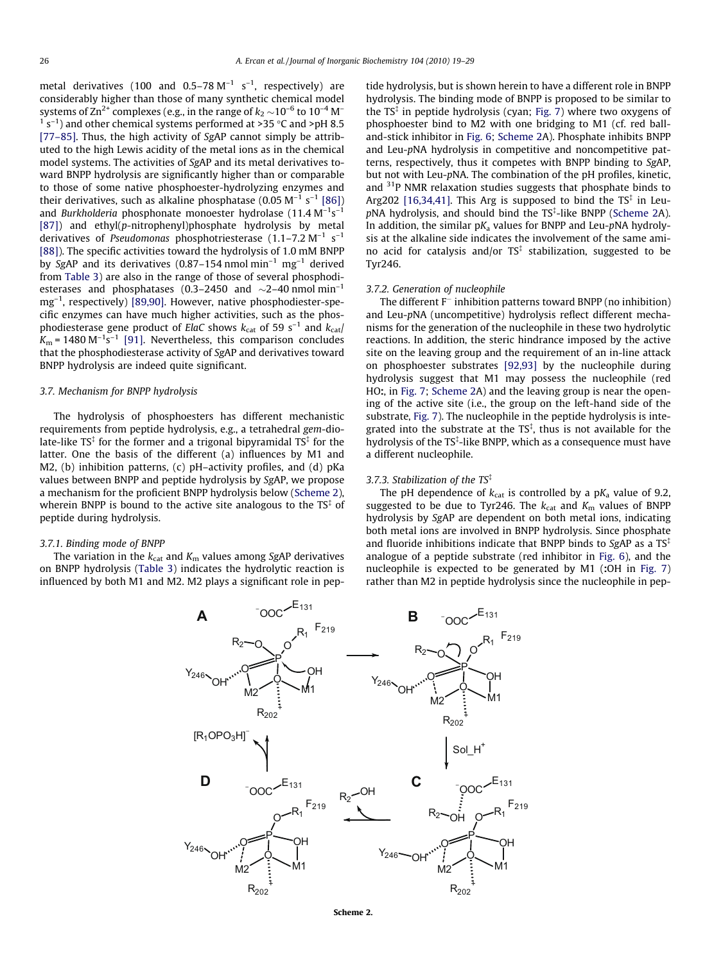<span id="page-7-0"></span>metal derivatives (100 and 0.5–78  $M^{-1}$  s<sup>-1</sup>, respectively) are considerably higher than those of many synthetic chemical model systems of  $\text{Zn}^{2+}$  complexes (e.g., in the range of  $k_2 \sim 10^{-6}$  to  $10^{-4}$  M<sup>-</sup>  $1$  s<sup>-1</sup>) and other chemical systems performed at >35 °C and >pH 8.5 [\[77–85\]](#page-10-0). Thus, the high activity of SgAP cannot simply be attributed to the high Lewis acidity of the metal ions as in the chemical model systems. The activities of SgAP and its metal derivatives toward BNPP hydrolysis are significantly higher than or comparable to those of some native phosphoester-hydrolyzing enzymes and their derivatives, such as alkaline phosphatase  $(0.05 \text{ M}^{-1} \text{ s}^{-1} [86])$  $(0.05 \text{ M}^{-1} \text{ s}^{-1} [86])$ and *Burkholderia* phosphonate monoester hydrolase (11.4  $\mathrm{M}^{-1}\mathrm{s}^{-1}$ [\[87\]](#page-10-0)) and ethyl( $p$ -nitrophenyl)phosphate hydrolysis by metal derivatives of Pseudomonas phosphotriesterase (1.1–7.2 M<sup>-1</sup> s<sup>-1</sup> [\[88\]](#page-10-0)). The specific activities toward the hydrolysis of 1.0 mM BNPP by SgAP and its derivatives (0.87-154 nmol min<sup>-1</sup> mg<sup>-1</sup> derived from [Table 3](#page-4-0)) are also in the range of those of several phosphodiesterases and phosphatases (0.3–2450 and  $\sim$ 2–40 nmol min<sup>-1</sup> mg–1, respectively) [\[89,90\]](#page-10-0). However, native phosphodiester-specific enzymes can have much higher activities, such as the phosphodiesterase gene product of ElaC shows  $k_{\text{cat}}$  of 59 s<sup>-1</sup> and  $k_{\text{cat}}$  $K_m$  = 1480 M<sup>-1</sup>s<sup>-1</sup> [\[91\].](#page-10-0) Nevertheless, this comparison concludes that the phosphodiesterase activity of SgAP and derivatives toward BNPP hydrolysis are indeed quite significant.

#### 3.7. Mechanism for BNPP hydrolysis

The hydrolysis of phosphoesters has different mechanistic requirements from peptide hydrolysis, e.g., a tetrahedral gem-diolate-like TS $^\ddag$  for the former and a trigonal bipyramidal TS $^\ddag$  for the latter. One the basis of the different (a) influences by M1 and M2, (b) inhibition patterns, (c) pH–activity profiles, and (d) pKa values between BNPP and peptide hydrolysis by SgAP, we propose a mechanism for the proficient BNPP hydrolysis below (Scheme 2), wherein BNPP is bound to the active site analogous to the  $TS^{\ddagger}$  of peptide during hydrolysis.

#### 3.7.1. Binding mode of BNPP

The variation in the  $k_{\text{cat}}$  and  $K_{\text{m}}$  values among SgAP derivatives on BNPP hydrolysis [\(Table 3\)](#page-4-0) indicates the hydrolytic reaction is influenced by both M1 and M2. M2 plays a significant role in pep-

tide hydrolysis, but is shown herein to have a different role in BNPP hydrolysis. The binding mode of BNPP is proposed to be similar to the  $TS^{\ddagger}$  in peptide hydrolysis (cyan; [Fig. 7\)](#page-8-0) where two oxygens of phosphoester bind to M2 with one bridging to M1 (cf. red balland-stick inhibitor in [Fig. 6;](#page-5-0) Scheme 2A). Phosphate inhibits BNPP and Leu-pNA hydrolysis in competitive and noncompetitive patterns, respectively, thus it competes with BNPP binding to SgAP, but not with Leu-pNA. The combination of the pH profiles, kinetic, and  $31P$  NMR relaxation studies suggests that phosphate binds to Arg202 [\[16,34,41\].](#page-9-0) This Arg is supposed to bind the TS $*$  in Leu $p$ NA hydrolysis, and should bind the TS $*$ -like BNPP (Scheme 2A). In addition, the similar  $pK_a$  values for BNPP and Leu- $pNA$  hydrolysis at the alkaline side indicates the involvement of the same amino acid for catalysis and/or  $TS^{\ddagger}$  stabilization, suggested to be Tyr246.

# 3.7.2. Generation of nucleophile

The different  $F^-$  inhibition patterns toward BNPP (no inhibition) and Leu-pNA (uncompetitive) hydrolysis reflect different mechanisms for the generation of the nucleophile in these two hydrolytic reactions. In addition, the steric hindrance imposed by the active site on the leaving group and the requirement of an in-line attack on phosphoester substrates [\[92,93\]](#page-10-0) by the nucleophile during hydrolysis suggest that M1 may possess the nucleophile (red HO:, in [Fig. 7;](#page-8-0) Scheme 2A) and the leaving group is near the opening of the active site (i.e., the group on the left-hand side of the substrate, [Fig. 7\)](#page-8-0). The nucleophile in the peptide hydrolysis is integrated into the substrate at the  $TS^{\ddagger}$ , thus is not available for the hydrolysis of the TS<sup>‡</sup>-like BNPP, which as a consequence must have a different nucleophile.

# 3.7.3. Stabilization of the  $TS^{\ddagger}$

The pH dependence of  $k_{cat}$  is controlled by a p $K_a$  value of 9.2, suggested to be due to Tyr246. The  $k_{\text{cat}}$  and  $K_{\text{m}}$  values of BNPP hydrolysis by SgAP are dependent on both metal ions, indicating both metal ions are involved in BNPP hydrolysis. Since phosphate and fluoride inhibitions indicate that BNPP binds to SgAP as a  $TS<sup>‡</sup>$ analogue of a peptide substrate (red inhibitor in [Fig. 6\)](#page-5-0), and the nucleophile is expected to be generated by M1 (:OH in [Fig. 7\)](#page-8-0) rather than M2 in peptide hydrolysis since the nucleophile in pep-



Scheme 2.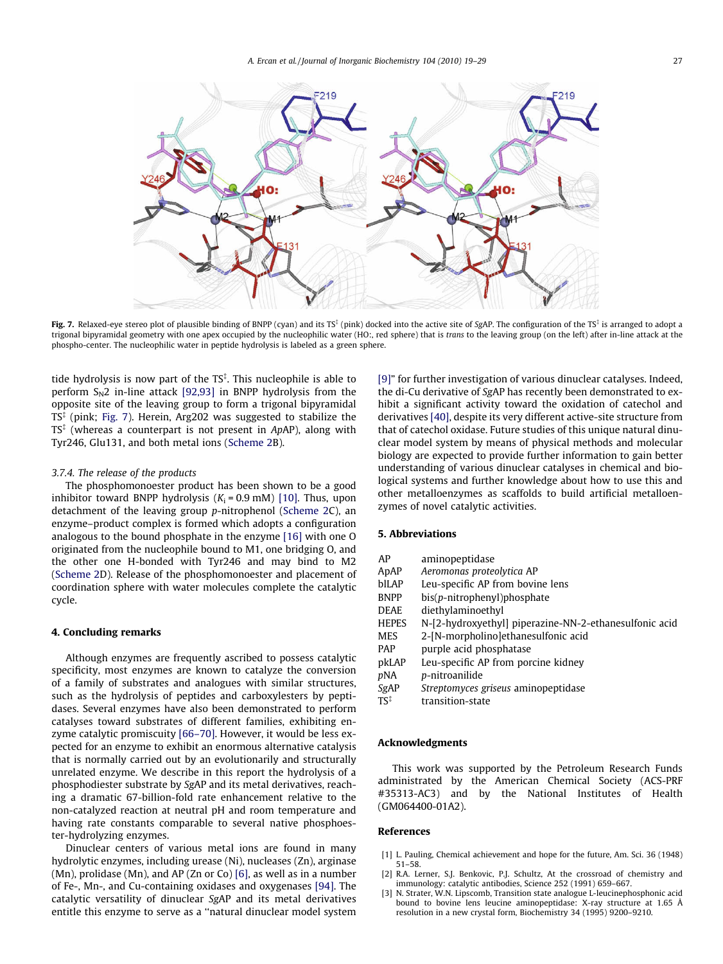<span id="page-8-0"></span>

**Fig. 7.** Relaxed-eye stereo plot of plausible binding of BNPP (cyan) and its TS<sup>‡</sup> (pink) docked into the active site of SgAP. The configuration of the TS<sup>‡</sup> is arranged to adopt a trigonal bipyramidal geometry with one apex occupied by the nucleophilic water (HO:, red sphere) that is trans to the leaving group (on the left) after in-line attack at the phospho-center. The nucleophilic water in peptide hydrolysis is labeled as a green sphere.

tide hydrolysis is now part of the TS<sup>‡</sup>. This nucleophile is able to perform  $S_N$ 2 in-line attack [\[92,93\]](#page-10-0) in BNPP hydrolysis from the opposite site of the leaving group to form a trigonal bipyramidal  $TS^{\ddagger}$  (pink; Fig. 7). Herein, Arg202 was suggested to stabilize the  $TS^{\ddagger}$  (whereas a counterpart is not present in ApAP), along with Tyr246, Glu131, and both metal ions [\(Scheme 2B](#page-7-0)).

#### 3.7.4. The release of the products

The phosphomonoester product has been shown to be a good inhibitor toward BNPP hydrolysis  $(K_i = 0.9 \text{ mM})$  [\[10\]](#page-9-0). Thus, upon detachment of the leaving group p-nitrophenol [\(Scheme 2C](#page-7-0)), an enzyme–product complex is formed which adopts a configuration analogous to the bound phosphate in the enzyme [\[16\]](#page-9-0) with one O originated from the nucleophile bound to M1, one bridging O, and the other one H-bonded with Tyr246 and may bind to M2 ([Scheme 2](#page-7-0)D). Release of the phosphomonoester and placement of coordination sphere with water molecules complete the catalytic cycle.

#### 4. Concluding remarks

Although enzymes are frequently ascribed to possess catalytic specificity, most enzymes are known to catalyze the conversion of a family of substrates and analogues with similar structures, such as the hydrolysis of peptides and carboxylesters by peptidases. Several enzymes have also been demonstrated to perform catalyses toward substrates of different families, exhibiting enzyme catalytic promiscuity [\[66–70\]](#page-10-0). However, it would be less expected for an enzyme to exhibit an enormous alternative catalysis that is normally carried out by an evolutionarily and structurally unrelated enzyme. We describe in this report the hydrolysis of a phosphodiester substrate by SgAP and its metal derivatives, reaching a dramatic 67-billion-fold rate enhancement relative to the non-catalyzed reaction at neutral pH and room temperature and having rate constants comparable to several native phosphoester-hydrolyzing enzymes.

Dinuclear centers of various metal ions are found in many hydrolytic enzymes, including urease (Ni), nucleases (Zn), arginase (Mn), prolidase (Mn), and AP (Zn or Co) [\[6\]](#page-9-0), as well as in a number of Fe-, Mn-, and Cu-containing oxidases and oxygenases [\[94\]](#page-10-0). The catalytic versatility of dinuclear SgAP and its metal derivatives entitle this enzyme to serve as a ''natural dinuclear model system [\[9\]](#page-9-0)" for further investigation of various dinuclear catalyses. Indeed, the di-Cu derivative of SgAP has recently been demonstrated to exhibit a significant activity toward the oxidation of catechol and derivatives [\[40\]](#page-9-0), despite its very different active-site structure from that of catechol oxidase. Future studies of this unique natural dinuclear model system by means of physical methods and molecular biology are expected to provide further information to gain better understanding of various dinuclear catalyses in chemical and biological systems and further knowledge about how to use this and other metalloenzymes as scaffolds to build artificial metalloenzymes of novel catalytic activities.

# 5. Abbreviations

| AP              | aminopeptidase                                         |
|-----------------|--------------------------------------------------------|
| ApAP            | Aeromonas proteolytica AP                              |
| blLAP           | Leu-specific AP from bovine lens                       |
| <b>BNPP</b>     | bis(p-nitrophenyl)phosphate                            |
| <b>DEAE</b>     | diethylaminoethyl                                      |
| <b>HEPES</b>    | N-[2-hydroxyethyl] piperazine-NN-2-ethanesulfonic acid |
| <b>MES</b>      | 2-[N-morpholino]ethanesulfonic acid                    |
| <b>PAP</b>      | purple acid phosphatase                                |
| pkLAP           | Leu-specific AP from porcine kidney                    |
| pNA             | p-nitroanilide                                         |
| SgAP            | Streptomyces griseus aminopeptidase                    |
| TS <sup>‡</sup> | transition-state                                       |

#### Acknowledgments

This work was supported by the Petroleum Research Funds administrated by the American Chemical Society (ACS-PRF #35313-AC3) and by the National Institutes of Health (GM064400-01A2).

# References

- [1] L. Pauling, Chemical achievement and hope for the future, Am. Sci. 36 (1948) 51–58.
- [2] R.A. Lerner, S.J. Benkovic, P.J. Schultz, At the crossroad of chemistry and immunology: catalytic antibodies, Science 252 (1991) 659–667.
- [3] N. Strater, W.N. Lipscomb, Transition state analogue L-leucinephosphonic acid bound to bovine lens leucine aminopeptidase: X-ray structure at 1.65 Å resolution in a new crystal form, Biochemistry 34 (1995) 9200–9210.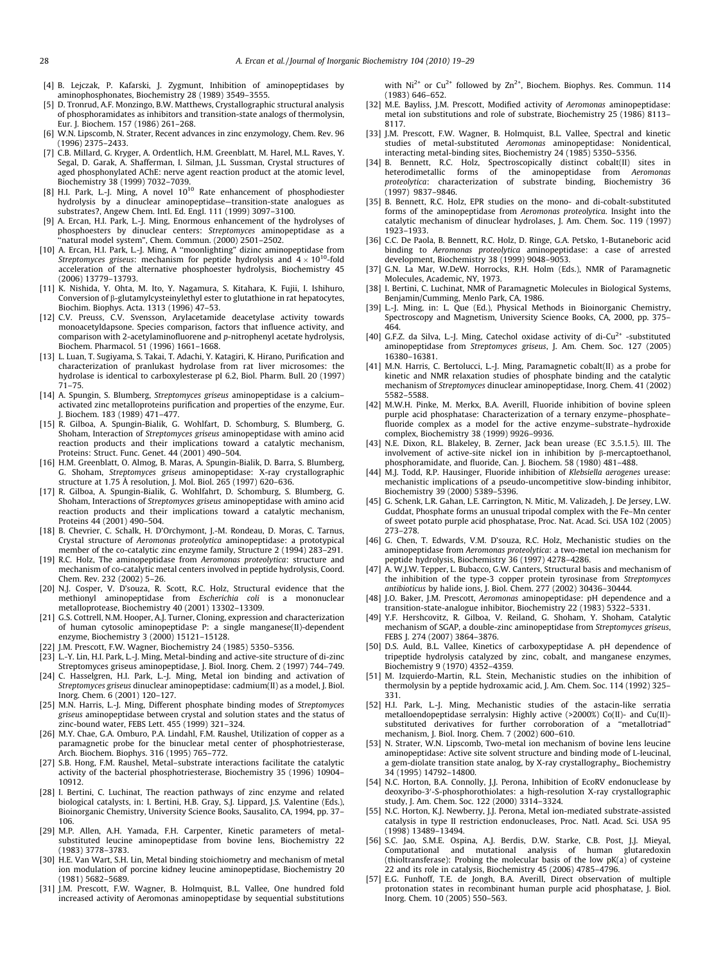- <span id="page-9-0"></span>[4] B. Lejczak, P. Kafarski, J. Zygmunt, Inhibition of aminopeptidases by aminophosphonates, Biochemistry 28 (1989) 3549–3555.
- [5] D. Tronrud, A.F. Monzingo, B.W. Matthews, Crystallographic structural analysis of phosphoramidates as inhibitors and transition-state analogs of thermolysin, Eur. J. Biochem. 157 (1986) 261–268.
- [6] W.N. Lipscomb, N. Strater, Recent advances in zinc enzymology, Chem. Rev. 96 (1996) 2375–2433.
- [7] C.B. Millard, G. Kryger, A. Ordentlich, H.M. Greenblatt, M. Harel, M.L. Raves, Y. Segal, D. Garak, A. Shafferman, I. Silman, J.L. Sussman, Crystal structures of aged phosphonylated AChE: nerve agent reaction product at the atomic level, Biochemistry 38 (1999) 7032–7039.
- [8] H.I. Park, L.-J. Ming, A novel 10<sup>10</sup> Rate enhancement of phosphodiester hydrolysis by a dinuclear aminopeptidase—transition-state analogues as substrates?, Angew Chem. Intl. Ed. Engl. 111 (1999) 3097–3100.
- [9] A. Ercan, H.I. Park, L.-J. Ming, Enormous enhancement of the hydrolyses of phosphoesters by dinuclear centers: Streptomyces aminopeptidase as a ''natural model system", Chem. Commun. (2000) 2501–2502.
- [10] A. Ercan, H.I. Park, L.-J. Ming, A ''moonlighting" dizinc aminopeptidase from Streptomyces griseus: mechanism for peptide hydrolysis and  $4\times 10^{10}$ -fold acceleration of the alternative phosphoester hydrolysis, Biochemistry 45 (2006) 13779–13793.
- [11] K. Nishida, Y. Ohta, M. Ito, Y. Nagamura, S. Kitahara, K. Fujii, I. Ishihuro, Conversion of  $\beta$ -glutamylcysteinylethyl ester to glutathione in rat hepatocytes, Biochim. Biophys. Acta. 1313 (1996) 47–53.
- [12] C.V. Preuss, C.V. Svensson, Arylacetamide deacetylase activity towards monoacetyldapsone. Species comparison, factors that influence activity, and comparison with 2-acetylaminofluorene and p-nitrophenyl acetate hydrolysis, Biochem. Pharmacol. 51 (1996) 1661–1668.
- [13] L. Luan, T. Sugiyama, S. Takai, T. Adachi, Y. Katagiri, K. Hirano, Purification and characterization of pranlukast hydrolase from rat liver microsomes: the hydrolase is identical to carboxylesterase pI 6.2, Biol. Pharm. Bull. 20 (1997) 71–75.
- [14] A. Spungin, S. Blumberg, Streptomyces griseus aminopeptidase is a calciumactivated zinc metalloproteins purification and properties of the enzyme, Eur. J. Biochem. 183 (1989) 471–477.
- [15] R. Gilboa, A. Spungin-Bialik, G. Wohlfart, D. Schomburg, S. Blumberg, G. Shoham, Interaction of Streptomyces griseus aminopeptidase with amino acid reaction products and their implications toward a catalytic mechanism, Proteins: Struct. Func. Genet. 44 (2001) 490–504.
- [16] H.M. Greenblatt, O. Almog, B. Maras, A. Spungin-Bialik, D. Barra, S. Blumberg, G. Shoham, Streptomyces griseus aminopeptidase: X-ray crystallographic structure at 1.75 Å resolution, J. Mol. Biol. 265 (1997) 620–636.
- [17] R. Gilboa, A. Spungin-Bialik, G. Wohlfahrt, D. Schomburg, S. Blumberg, G. Shoham, Interactions of Streptomyces griseus aminopeptidase with amino acid reaction products and their implications toward a catalytic mechanism, Proteins 44 (2001) 490–504.
- [18] B. Chevrier, C. Schalk, H. D'Orchymont, J.-M. Rondeau, D. Moras, C. Tarnus, Crystal structure of Aeromonas proteolytica aminopeptidase: a prototypical member of the co-catalytic zinc enzyme family, Structure 2 (1994) 283–291.
- [19] R.C. Holz, The aminopeptidase from Aeromonas proteolytica: structure and mechanism of co-catalytic metal centers involved in peptide hydrolysis, Coord. Chem. Rev. 232 (2002) 5–26.
- [20] N.J. Cosper, V. D'souza, R. Scott, R.C. Holz, Structural evidence that the methionyl aminopeptidase from Escherichia coli is a mononuclear metalloprotease, Biochemistry 40 (2001) 13302–13309.
- [21] G.S. Cottrell, N.M. Hooper, A.J. Turner, Cloning, expression and characterization of human cytosolic aminopeptidase P: a single manganese(II)-dependent enzyme, Biochemistry 3 (2000) 15121–15128.
- [22] J.M. Prescott, F.W. Wagner, Biochemistry 24 (1985) 5350–5356.
- [23] L.-Y. Lin, H.I. Park, L.-J. Ming, Metal-binding and active-site structure of di-zinc Streptomyces griseus aminopeptidase, J. Biol. Inorg. Chem. 2 (1997) 744–749.
- [24] C. Hasselgren, H.I. Park, L.-J. Ming, Metal ion binding and activation of Streptomyces griseus dinuclear aminopeptidase: cadmium(II) as a model, J. Biol. Inorg. Chem. 6 (2001) 120–127.
- [25] M.N. Harris, L.-J. Ming, Different phosphate binding modes of Streptomyces griseus aminopeptidase between crystal and solution states and the status of zinc-bound water, FEBS Lett. 455 (1999) 321–324.
- [26] M.Y. Chae, G.A. Omburo, P.A. Lindahl, F.M. Raushel, Utilization of copper as a paramagnetic probe for the binuclear metal center of phosphotriesterase, Arch. Biochem. Biophys. 316 (1995) 765–772.
- [27] S.B. Hong, F.M. Raushel, Metal–substrate interactions facilitate the catalytic activity of the bacterial phosphotriesterase, Biochemistry 35 (1996) 10904– 10912.
- [28] I. Bertini, C. Luchinat, The reaction pathways of zinc enzyme and related biological catalysts, in: I. Bertini, H.B. Gray, S.J. Lippard, J.S. Valentine (Eds.), Bioinorganic Chemistry, University Science Books, Sausalito, CA, 1994, pp. 37– 106.
- [29] M.P. Allen, A.H. Yamada, F.H. Carpenter, Kinetic parameters of metalsubstituted leucine aminopeptidase from bovine lens, Biochemistry 22 (1983) 3778–3783.
- [30] H.E. Van Wart, S.H. Lin, Metal binding stoichiometry and mechanism of metal ion modulation of porcine kidney leucine aminopeptidase, Biochemistry 20 (1981) 5682–5689.
- [31] J.M. Prescott, F.W. Wagner, B. Holmquist, B.L. Vallee, One hundred fold increased activity of Aeromonas aminopeptidase by sequential substitutions

with  $Ni^{2+}$  or Cu<sup>2+</sup> followed by  $Zn^{2+}$ , Biochem. Biophys. Res. Commun. 114 (1983) 646–652.

- [32] M.E. Bayliss, J.M. Prescott, Modified activity of Aeromonas aminopeptidase: metal ion substitutions and role of substrate, Biochemistry 25 (1986) 8113– 8117.
- [33] J.M. Prescott, F.W. Wagner, B. Holmquist, B.L. Vallee, Spectral and kinetic studies of metal-substituted Aeromonas aminopeptidase: Nonidentical, interacting metal-binding sites, Biochemistry 24 (1985) 5350–5356.
- [34] B. Bennett, R.C. Holz, Spectroscopically distinct cobalt(II) sites in heterodimetallic forms of the aminopeptidase from Aeromonas proteolytica: characterization of substrate binding, Biochemistry 36 (1997) 9837–9846.
- [35] B. Bennett, R.C. Holz, EPR studies on the mono- and di-cobalt-substituted forms of the aminopeptidase from Aeromonas proteolytica. Insight into the catalytic mechanism of dinuclear hydrolases, J. Am. Chem. Soc. 119 (1997) 1923–1933.
- [36] C.C. De Paola, B. Bennett, R.C. Holz, D. Ringe, G.A. Petsko, 1-Butaneboric acid binding to Aeromonas proteolytica aminopeptidase: a case of arrested development, Biochemistry 38 (1999) 9048–9053.
- [37] G.N. La Mar, W.DeW. Horrocks, R.H. Holm (Eds.), NMR of Paramagnetic Molecules, Academic, NY, 1973.
- [38] I. Bertini, C. Luchinat, NMR of Paramagnetic Molecules in Biological Systems, Benjamin/Cumming, Menlo Park, CA, 1986.
- [39] L.-J. Ming, in: L. Que (Ed.), Physical Methods in Bioinorganic Chemistry, Spectroscopy and Magnetism, University Science Books, CA, 2000, pp. 375– 464.
- [40] G.F.Z. da Silva, L.-J. Ming, Catechol oxidase activity of di-Cu<sup>2+</sup> -substituted aminopeptidase from Streptomyces griseus, J. Am. Chem. Soc. 127 (2005) 16380–16381.
- [41] M.N. Harris, C. Bertolucci, L.-J. Ming, Paramagnetic cobalt(II) as a probe for kinetic and NMR relaxation studies of phosphate binding and the catalytic mechanism of Streptomyces dinuclear aminopeptidase, Inorg. Chem. 41 (2002) 5582–5588.
- [42] M.W.H. Pinke, M. Merkx, B.A. Averill, Fluoride inhibition of bovine spleen purple acid phosphatase: Characterization of a ternary enzyme–phosphate– fluoride complex as a model for the active enzyme–substrate–hydroxide complex, Biochemistry 38 (1999) 9926–9936.
- [43] N.E. Dixon, R.L. Blakeley, B. Zerner, Jack bean urease (EC 3.5.1.5). III. The involvement of active-site nickel ion in inhibition by  $\beta$ -mercaptoethanol, phosphoramidate, and fluoride, Can. J. Biochem. 58 (1980) 481–488.
- [44] M.J. Todd, R.P. Hausinger, Fluoride inhibition of Klebsiella aerogenes urease: mechanistic implications of a pseudo-uncompetitive slow-binding inhibitor, Biochemistry 39 (2000) 5389–5396.
- [45] G. Schenk, L.R. Gahan, L.E. Carrington, N. Mitic, M. Valizadeh, J. De Jersey, L.W. Guddat, Phosphate forms an unusual tripodal complex with the Fe–Mn center of sweet potato purple acid phosphatase, Proc. Nat. Acad. Sci. USA 102 (2005) 273–278.
- [46] G. Chen, T. Edwards, V.M. D'souza, R.C. Holz, Mechanistic studies on the aminopeptidase from Aeromonas proteolytica: a two-metal ion mechanism for peptide hydrolysis, Biochemistry 36 (1997) 4278–4286.
- [47] A. W.J.W. Tepper, L. Bubacco, G.W. Canters, Structural basis and mechanism of the inhibition of the type-3 copper protein tyrosinase from Streptomyces antibioticus by halide ions, J. Biol. Chem. 277 (2002) 30436–30444.
- [48] J.O. Baker, J.M. Prescott, Aeromonas aminopeptidase: pH dependence and a transition-state-analogue inhibitor, Biochemistry 22 (1983) 5322–5331.
- [49] Y.F. Hershcovitz, R. Gilboa, V. Reiland, G. Shoham, Y. Shoham, Catalytic mechanism of SGAP, a double-zinc aminopeptidase from Streptomyces griseus, FEBS J. 274 (2007) 3864–3876.
- [50] D.S. Auld, B.L. Vallee, Kinetics of carboxypeptidase A. pH dependence of tripeptide hydrolysis catalyzed by zinc, cobalt, and manganese enzymes, Biochemistry 9 (1970) 4352–4359.
- [51] M. Izquierdo-Martin, R.L. Stein, Mechanistic studies on the inhibition of thermolysin by a peptide hydroxamic acid, J. Am. Chem. Soc. 114 (1992) 325– 331.
- [52] H.I. Park, L.-J. Ming, Mechanistic studies of the astacin-like serratia metalloendopeptidase serralysin: Highly active (>2000%) Co(II)- and Cu(II) substituted derivatives for further corroboration of a ''metallotriad" mechanism, J. Biol. Inorg. Chem. 7 (2002) 600–610.
- [53] N. Strater, W.N. Lipscomb, Two-metal ion mechanism of bovine lens leucine aminopeptidase: Active site solvent structure and binding mode of L-leucinal, a gem-diolate transition state analog, by X-ray crystallography,, Biochemistry 34 (1995) 14792–14800.
- [54] N.C. Horton, B.A. Connolly, J.J. Perona, Inhibition of EcoRV endonuclease by deoxyribo-3'-S-phosphorothiolates: a high-resolution X-ray crystallographic study, J. Am. Chem. Soc. 122 (2000) 3314–3324.
- [55] N.C. Horton, K.J. Newberry, J.J. Perona, Metal ion-mediated substrate-assisted catalysis in type II restriction endonucleases, Proc. Natl. Acad. Sci. USA 95 (1998) 13489–13494.
- [56] S.C. Jao, S.M.E. Ospina, A.J. Berdis, D.W. Starke, C.B. Post, J.J. Mieyal, Computational and mutational analysis of human glutaredoxin (thioltransferase): Probing the molecular basis of the low pK(a) of cysteine 22 and its role in catalysis, Biochemistry 45 (2006) 4785–4796.
- [57] E.G. Funhoff, T.E. de Jongh, B.A. Averill, Direct observation of multiple protonation states in recombinant human purple acid phosphatase, J. Biol. Inorg. Chem. 10 (2005) 550–563.